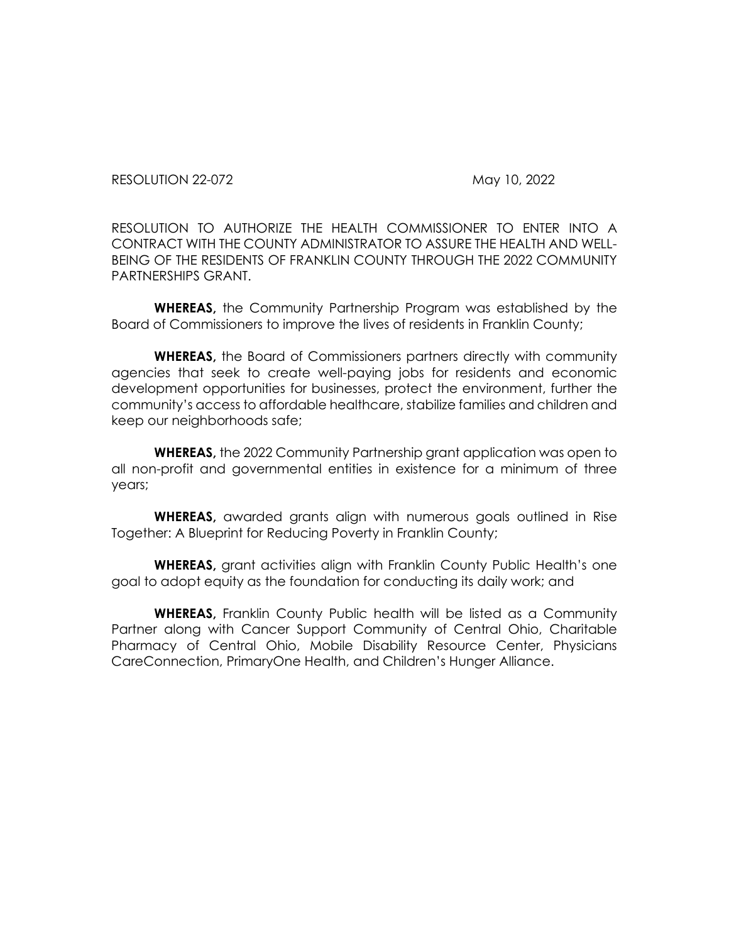RESOLUTION 22-072 May 10, 2022

RESOLUTION TO AUTHORIZE THE HEALTH COMMISSIONER TO ENTER INTO A CONTRACT WITH THE COUNTY ADMINISTRATOR TO ASSURE THE HEALTH AND WELL-BEING OF THE RESIDENTS OF FRANKLIN COUNTY THROUGH THE 2022 COMMUNITY PARTNERSHIPS GRANT.

**WHEREAS,** the Community Partnership Program was established by the Board of Commissioners to improve the lives of residents in Franklin County;

**WHEREAS,** the Board of Commissioners partners directly with community agencies that seek to create well-paying jobs for residents and economic development opportunities for businesses, protect the environment, further the community's access to affordable healthcare, stabilize families and children and keep our neighborhoods safe;

**WHEREAS,** the 2022 Community Partnership grant application was open to all non-profit and governmental entities in existence for a minimum of three years;

**WHEREAS,** awarded grants align with numerous goals outlined in Rise Together: A Blueprint for Reducing Poverty in Franklin County;

**WHEREAS,** grant activities align with Franklin County Public Health's one goal to adopt equity as the foundation for conducting its daily work; and

**WHEREAS,** Franklin County Public health will be listed as a Community Partner along with Cancer Support Community of Central Ohio, Charitable Pharmacy of Central Ohio, Mobile Disability Resource Center, Physicians CareConnection, PrimaryOne Health, and Children's Hunger Alliance.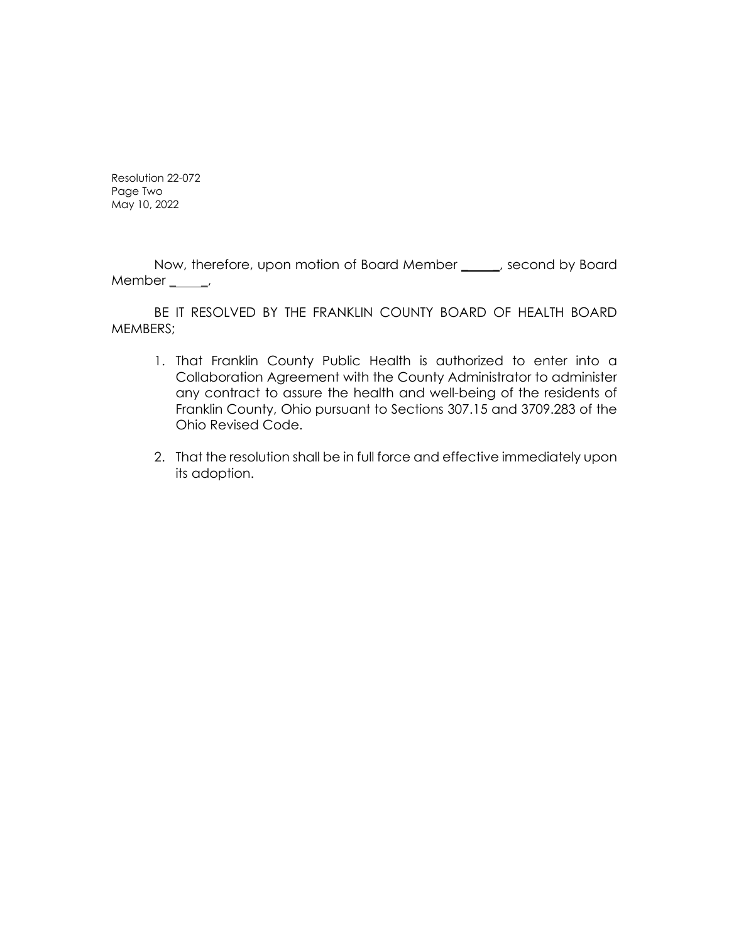Resolution 22-072 Page Two May 10, 2022

Now, therefore, upon motion of Board Member \_\_\_\_, second by Board Member  $\_\_\_\_\$ 

BE IT RESOLVED BY THE FRANKLIN COUNTY BOARD OF HEALTH BOARD MEMBERS;

- 1. That Franklin County Public Health is authorized to enter into a Collaboration Agreement with the County Administrator to administer any contract to assure the health and well-being of the residents of Franklin County, Ohio pursuant to Sections 307.15 and 3709.283 of the Ohio Revised Code.
- 2. That the resolution shall be in full force and effective immediately upon its adoption.